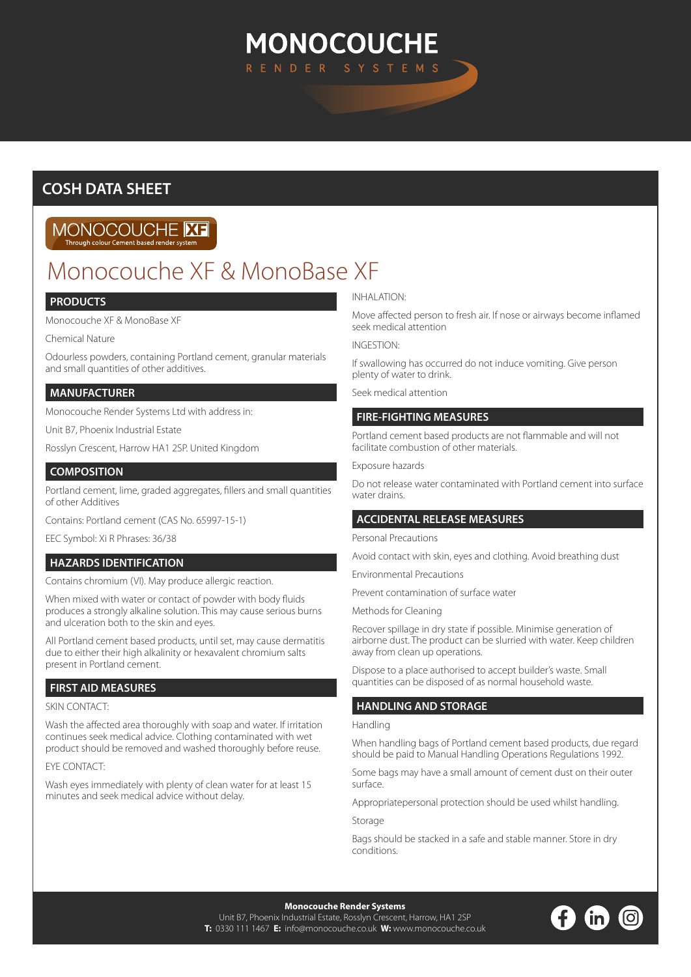# **MONOCOUCHE** N D E R

# **COSH DATA SHEET**

# MONOCOUCHE **ME**

# Monocouche XF & MonoBase XF

# **PRODUCTS**

Monocouche XF & MonoBase XF

Chemical Nature

Odourless powders, containing Portland cement, granular materials and small quantities of other additives.

# **MANUFACTURER**

Monocouche Render Systems Ltd with address in:

Unit B7, Phoenix Industrial Estate

Rosslyn Crescent, Harrow HA1 2SP. United Kingdom

# **COMPOSITION**

Portland cement, lime, graded aggregates, fillers and small quantities of other Additives

Contains: Portland cement (CAS No. 65997-15-1)

EEC Symbol: Xi R Phrases: 36/38

# **HAZARDS IDENTIFICATION**

Contains chromium (VI). May produce allergic reaction.

When mixed with water or contact of powder with body fluids produces a strongly alkaline solution. This may cause serious burns and ulceration both to the skin and eyes.

All Portland cement based products, until set, may cause dermatitis due to either their high alkalinity or hexavalent chromium salts present in Portland cement.

# **FIRST AID MEASURES**

#### SKIN CONTACT:

Wash the affected area thoroughly with soap and water. If irritation continues seek medical advice. Clothing contaminated with wet product should be removed and washed thoroughly before reuse.

#### EYE CONTACT:

Wash eyes immediately with plenty of clean water for at least 15 minutes and seek medical advice without delay.

### INHALATION:

Move affected person to fresh air. If nose or airways become inflamed seek medical attention

#### INGESTION:

If swallowing has occurred do not induce vomiting. Give person plenty of water to drink.

Seek medical attention

### **FIRE-FIGHTING MEASURES**

Portland cement based products are not flammable and will not facilitate combustion of other materials.

#### Exposure hazards

Do not release water contaminated with Portland cement into surface water drains.

# **ACCIDENTAL RELEASE MEASURES**

Personal Precautions

Avoid contact with skin, eyes and clothing. Avoid breathing dust

Environmental Precautions

Prevent contamination of surface water

Methods for Cleaning

Recover spillage in dry state if possible. Minimise generation of airborne dust. The product can be slurried with water. Keep children away from clean up operations.

Dispose to a place authorised to accept builder's waste. Small quantities can be disposed of as normal household waste.

# **HANDLING AND STORAGE**

#### Handling

When handling bags of Portland cement based products, due regard should be paid to Manual Handling Operations Regulations 1992.

Some bags may have a small amount of cement dust on their outer surface.

Appropriatepersonal protection should be used whilst handling.

Storage

Bags should be stacked in a safe and stable manner. Store in dry conditions.

**Monocouche Render Systems**  Unit B7, Phoenix Industrial Estate, Rosslyn Crescent, Harrow, HA1 2SP **T:** 0330 111 1467 **E:** info@monocouche.co.uk **W:** www.monocouche.co.uk